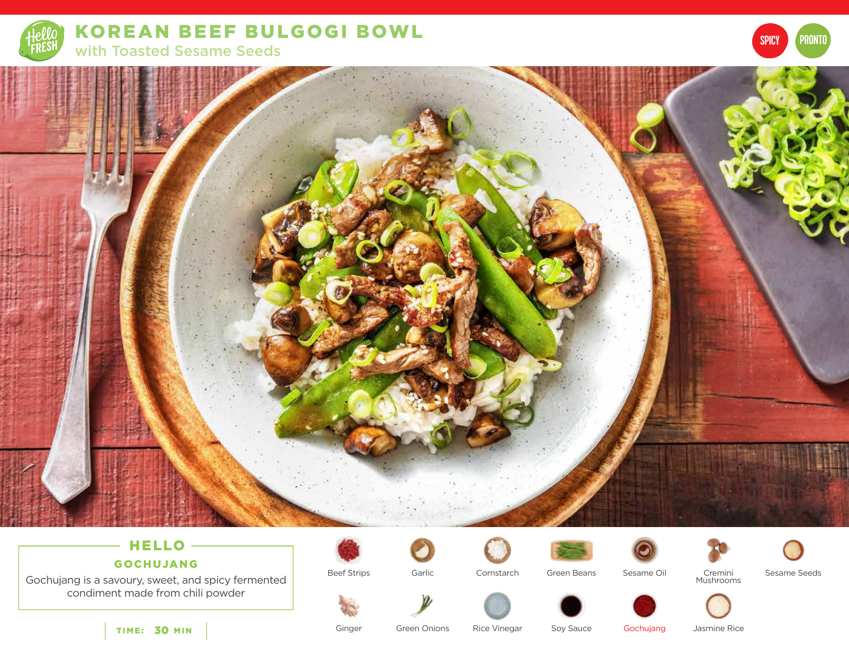

KOREAN BEEF BULGOGI BOWL with Toasted Sesame Seeds



# HELLO -

GOCHUJANG

Gochujang is a savoury, sweet, and spicy fermented condiment made from chili powder

TIME: 30 MIN

Beef Strips









SPICY **PRONTO** 

Cornstarch

Garlic Cornstarch Green Beans

Cremini Mushrooms



Ginger

Green Onions Rice Vinegar Soy Sauce Rice Vinegar

Gochujang Jasmine Rice